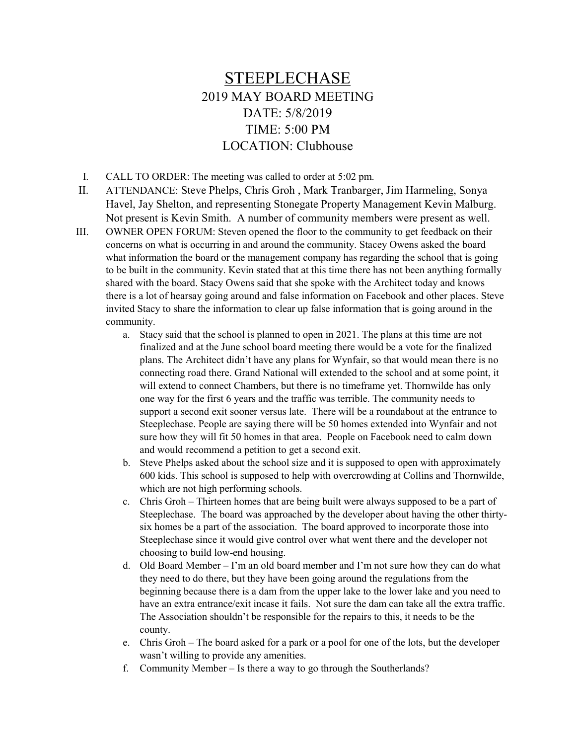## STEEPLECHASE 2019 MAY BOARD MEETING DATE: 5/8/2019 TIME: 5:00 PM LOCATION: Clubhouse

I. CALL TO ORDER: The meeting was called to order at 5:02 pm.

- II. ATTENDANCE: Steve Phelps, Chris Groh , Mark Tranbarger, Jim Harmeling, Sonya Havel, Jay Shelton, and representing Stonegate Property Management Kevin Malburg. Not present is Kevin Smith. A number of community members were present as well.
- III. OWNER OPEN FORUM: Steven opened the floor to the community to get feedback on their concerns on what is occurring in and around the community. Stacey Owens asked the board what information the board or the management company has regarding the school that is going to be built in the community. Kevin stated that at this time there has not been anything formally shared with the board. Stacy Owens said that she spoke with the Architect today and knows there is a lot of hearsay going around and false information on Facebook and other places. Steve invited Stacy to share the information to clear up false information that is going around in the community.
	- a. Stacy said that the school is planned to open in 2021. The plans at this time are not finalized and at the June school board meeting there would be a vote for the finalized plans. The Architect didn't have any plans for Wynfair, so that would mean there is no connecting road there. Grand National will extended to the school and at some point, it will extend to connect Chambers, but there is no timeframe yet. Thornwilde has only one way for the first 6 years and the traffic was terrible. The community needs to support a second exit sooner versus late. There will be a roundabout at the entrance to Steeplechase. People are saying there will be 50 homes extended into Wynfair and not sure how they will fit 50 homes in that area. People on Facebook need to calm down and would recommend a petition to get a second exit.
	- b. Steve Phelps asked about the school size and it is supposed to open with approximately 600 kids. This school is supposed to help with overcrowding at Collins and Thornwilde, which are not high performing schools.
	- c. Chris Groh Thirteen homes that are being built were always supposed to be a part of Steeplechase. The board was approached by the developer about having the other thirtysix homes be a part of the association. The board approved to incorporate those into Steeplechase since it would give control over what went there and the developer not choosing to build low-end housing.
	- d. Old Board Member I'm an old board member and I'm not sure how they can do what they need to do there, but they have been going around the regulations from the beginning because there is a dam from the upper lake to the lower lake and you need to have an extra entrance/exit incase it fails. Not sure the dam can take all the extra traffic. The Association shouldn't be responsible for the repairs to this, it needs to be the county.
	- e. Chris Groh The board asked for a park or a pool for one of the lots, but the developer wasn't willing to provide any amenities.
	- f. Community Member Is there a way to go through the Southerlands?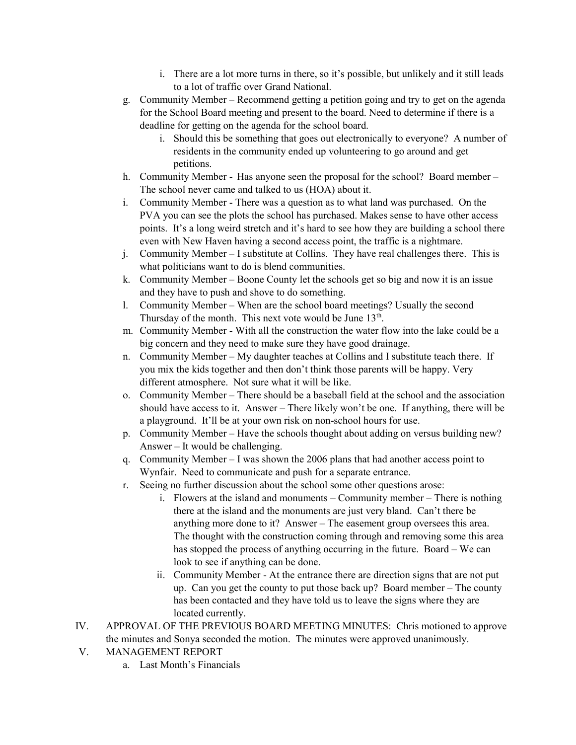- i. There are a lot more turns in there, so it's possible, but unlikely and it still leads to a lot of traffic over Grand National.
- g. Community Member Recommend getting a petition going and try to get on the agenda for the School Board meeting and present to the board. Need to determine if there is a deadline for getting on the agenda for the school board.
	- i. Should this be something that goes out electronically to everyone? A number of residents in the community ended up volunteering to go around and get petitions.
- h. Community Member Has anyone seen the proposal for the school? Board member The school never came and talked to us (HOA) about it.
- i. Community Member There was a question as to what land was purchased. On the PVA you can see the plots the school has purchased. Makes sense to have other access points. It's a long weird stretch and it's hard to see how they are building a school there even with New Haven having a second access point, the traffic is a nightmare.
- j. Community Member I substitute at Collins. They have real challenges there. This is what politicians want to do is blend communities.
- k. Community Member Boone County let the schools get so big and now it is an issue and they have to push and shove to do something.
- l. Community Member When are the school board meetings? Usually the second Thursday of the month. This next vote would be June  $13<sup>th</sup>$ .
- m. Community Member With all the construction the water flow into the lake could be a big concern and they need to make sure they have good drainage.
- n. Community Member My daughter teaches at Collins and I substitute teach there. If you mix the kids together and then don't think those parents will be happy. Very different atmosphere. Not sure what it will be like.
- o. Community Member There should be a baseball field at the school and the association should have access to it. Answer – There likely won't be one. If anything, there will be a playground. It'll be at your own risk on non-school hours for use.
- p. Community Member Have the schools thought about adding on versus building new? Answer – It would be challenging.
- q. Community Member I was shown the 2006 plans that had another access point to Wynfair. Need to communicate and push for a separate entrance.
- r. Seeing no further discussion about the school some other questions arose:
	- i. Flowers at the island and monuments Community member There is nothing there at the island and the monuments are just very bland. Can't there be anything more done to it? Answer – The easement group oversees this area. The thought with the construction coming through and removing some this area has stopped the process of anything occurring in the future. Board – We can look to see if anything can be done.
	- ii. Community Member At the entrance there are direction signs that are not put up. Can you get the county to put those back up? Board member – The county has been contacted and they have told us to leave the signs where they are located currently.
- IV. APPROVAL OF THE PREVIOUS BOARD MEETING MINUTES: Chris motioned to approve the minutes and Sonya seconded the motion. The minutes were approved unanimously.
- V. MANAGEMENT REPORT
	- a. Last Month's Financials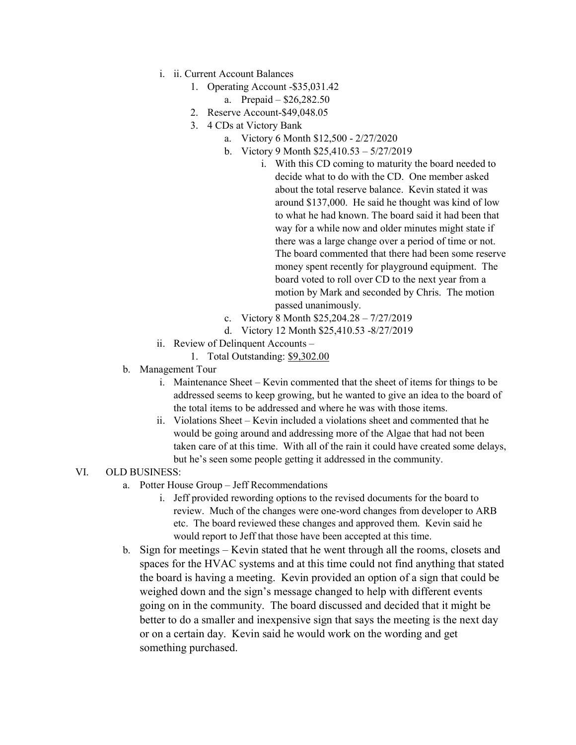- i. ii. Current Account Balances
	- 1. Operating Account -\$35,031.42
		- a. Prepaid \$26,282.50
	- 2. Reserve Account-\$49,048.05
	- 3. 4 CDs at Victory Bank
		- a. Victory 6 Month \$12,500 2/27/2020
		- b. Victory 9 Month \$25,410.53 5/27/2019
			- i. With this CD coming to maturity the board needed to decide what to do with the CD. One member asked about the total reserve balance. Kevin stated it was around \$137,000. He said he thought was kind of low to what he had known. The board said it had been that way for a while now and older minutes might state if there was a large change over a period of time or not. The board commented that there had been some reserve money spent recently for playground equipment. The board voted to roll over CD to the next year from a motion by Mark and seconded by Chris. The motion passed unanimously.
		- c. Victory 8 Month \$25,204.28 7/27/2019
		- d. Victory 12 Month \$25,410.53 -8/27/2019
- ii. Review of Delinquent Accounts
	- 1. Total Outstanding: \$9,302.00
- b. Management Tour
	- i. Maintenance Sheet Kevin commented that the sheet of items for things to be addressed seems to keep growing, but he wanted to give an idea to the board of the total items to be addressed and where he was with those items.
	- ii. Violations Sheet Kevin included a violations sheet and commented that he would be going around and addressing more of the Algae that had not been taken care of at this time. With all of the rain it could have created some delays, but he's seen some people getting it addressed in the community.

## VI. OLD BUSINESS:

- a. Potter House Group Jeff Recommendations
	- i. Jeff provided rewording options to the revised documents for the board to review. Much of the changes were one-word changes from developer to ARB etc. The board reviewed these changes and approved them. Kevin said he would report to Jeff that those have been accepted at this time.
- b. Sign for meetings Kevin stated that he went through all the rooms, closets and spaces for the HVAC systems and at this time could not find anything that stated the board is having a meeting. Kevin provided an option of a sign that could be weighed down and the sign's message changed to help with different events going on in the community. The board discussed and decided that it might be better to do a smaller and inexpensive sign that says the meeting is the next day or on a certain day. Kevin said he would work on the wording and get something purchased.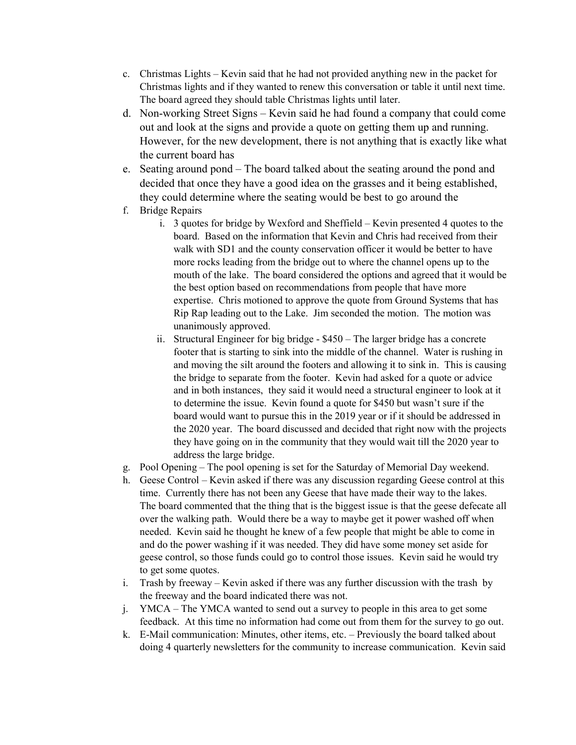- c. Christmas Lights Kevin said that he had not provided anything new in the packet for Christmas lights and if they wanted to renew this conversation or table it until next time. The board agreed they should table Christmas lights until later.
- d. Non-working Street Signs Kevin said he had found a company that could come out and look at the signs and provide a quote on getting them up and running. However, for the new development, there is not anything that is exactly like what the current board has
- e. Seating around pond The board talked about the seating around the pond and decided that once they have a good idea on the grasses and it being established, they could determine where the seating would be best to go around the
- f. Bridge Repairs
	- i. 3 quotes for bridge by Wexford and Sheffield Kevin presented 4 quotes to the board. Based on the information that Kevin and Chris had received from their walk with SD1 and the county conservation officer it would be better to have more rocks leading from the bridge out to where the channel opens up to the mouth of the lake. The board considered the options and agreed that it would be the best option based on recommendations from people that have more expertise. Chris motioned to approve the quote from Ground Systems that has Rip Rap leading out to the Lake. Jim seconded the motion. The motion was unanimously approved.
	- ii. Structural Engineer for big bridge \$450 The larger bridge has a concrete footer that is starting to sink into the middle of the channel. Water is rushing in and moving the silt around the footers and allowing it to sink in. This is causing the bridge to separate from the footer. Kevin had asked for a quote or advice and in both instances, they said it would need a structural engineer to look at it to determine the issue. Kevin found a quote for \$450 but wasn't sure if the board would want to pursue this in the 2019 year or if it should be addressed in the 2020 year. The board discussed and decided that right now with the projects they have going on in the community that they would wait till the 2020 year to address the large bridge.
- g. Pool Opening The pool opening is set for the Saturday of Memorial Day weekend.
- h. Geese Control Kevin asked if there was any discussion regarding Geese control at this time. Currently there has not been any Geese that have made their way to the lakes. The board commented that the thing that is the biggest issue is that the geese defecate all over the walking path. Would there be a way to maybe get it power washed off when needed. Kevin said he thought he knew of a few people that might be able to come in and do the power washing if it was needed. They did have some money set aside for geese control, so those funds could go to control those issues. Kevin said he would try to get some quotes.
- i. Trash by freeway Kevin asked if there was any further discussion with the trash by the freeway and the board indicated there was not.
- j. YMCA The YMCA wanted to send out a survey to people in this area to get some feedback. At this time no information had come out from them for the survey to go out.
- k. E-Mail communication: Minutes, other items, etc. Previously the board talked about doing 4 quarterly newsletters for the community to increase communication. Kevin said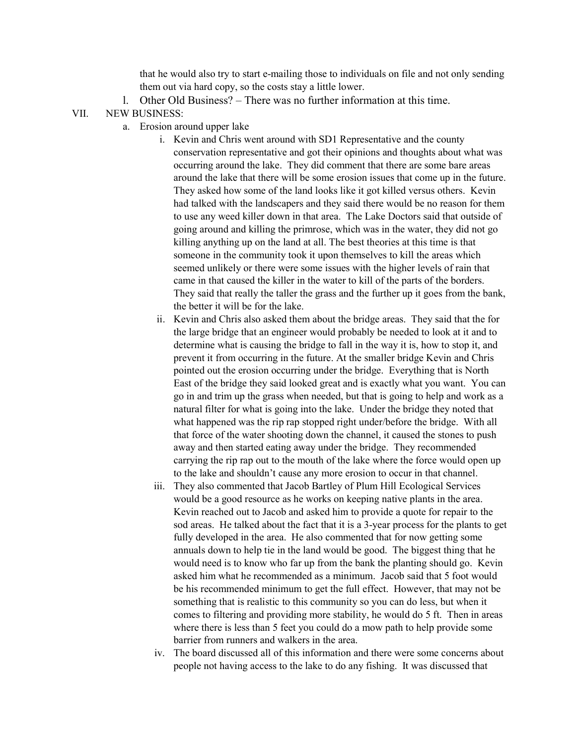that he would also try to start e-mailing those to individuals on file and not only sending them out via hard copy, so the costs stay a little lower.

l. Other Old Business? – There was no further information at this time.

## VII. NEW BUSINESS:

- a. Erosion around upper lake
	- i. Kevin and Chris went around with SD1 Representative and the county conservation representative and got their opinions and thoughts about what was occurring around the lake. They did comment that there are some bare areas around the lake that there will be some erosion issues that come up in the future. They asked how some of the land looks like it got killed versus others. Kevin had talked with the landscapers and they said there would be no reason for them to use any weed killer down in that area. The Lake Doctors said that outside of going around and killing the primrose, which was in the water, they did not go killing anything up on the land at all. The best theories at this time is that someone in the community took it upon themselves to kill the areas which seemed unlikely or there were some issues with the higher levels of rain that came in that caused the killer in the water to kill of the parts of the borders. They said that really the taller the grass and the further up it goes from the bank, the better it will be for the lake.
	- ii. Kevin and Chris also asked them about the bridge areas. They said that the for the large bridge that an engineer would probably be needed to look at it and to determine what is causing the bridge to fall in the way it is, how to stop it, and prevent it from occurring in the future. At the smaller bridge Kevin and Chris pointed out the erosion occurring under the bridge. Everything that is North East of the bridge they said looked great and is exactly what you want. You can go in and trim up the grass when needed, but that is going to help and work as a natural filter for what is going into the lake. Under the bridge they noted that what happened was the rip rap stopped right under/before the bridge. With all that force of the water shooting down the channel, it caused the stones to push away and then started eating away under the bridge. They recommended carrying the rip rap out to the mouth of the lake where the force would open up to the lake and shouldn't cause any more erosion to occur in that channel.
	- iii. They also commented that Jacob Bartley of Plum Hill Ecological Services would be a good resource as he works on keeping native plants in the area. Kevin reached out to Jacob and asked him to provide a quote for repair to the sod areas. He talked about the fact that it is a 3-year process for the plants to get fully developed in the area. He also commented that for now getting some annuals down to help tie in the land would be good. The biggest thing that he would need is to know who far up from the bank the planting should go. Kevin asked him what he recommended as a minimum. Jacob said that 5 foot would be his recommended minimum to get the full effect. However, that may not be something that is realistic to this community so you can do less, but when it comes to filtering and providing more stability, he would do 5 ft. Then in areas where there is less than 5 feet you could do a mow path to help provide some barrier from runners and walkers in the area.
	- iv. The board discussed all of this information and there were some concerns about people not having access to the lake to do any fishing. It was discussed that